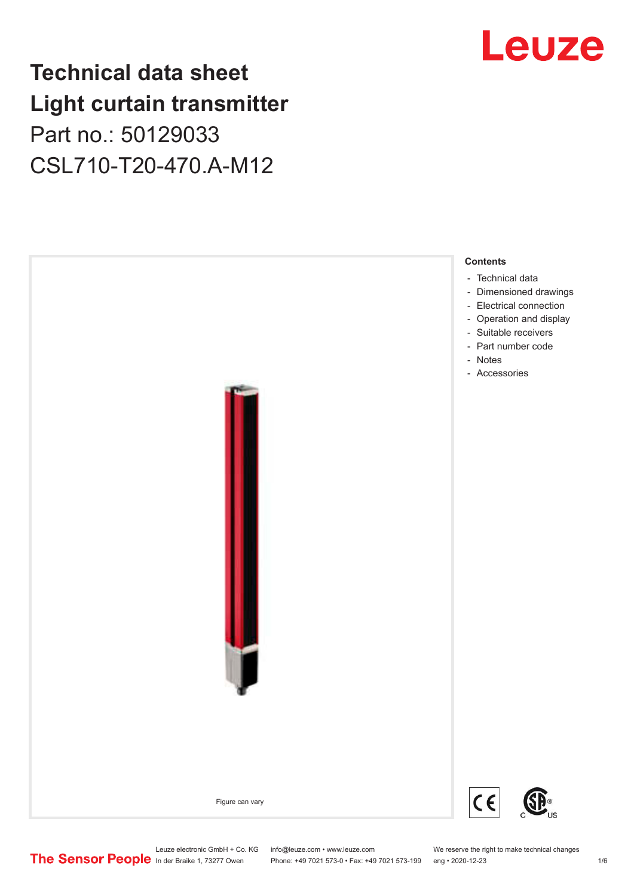## **Technical data sheet Light curtain transmitter** Part no.: 50129033 CSL710-T20-470.A-M12



Leuze

Leuze electronic GmbH + Co. KG info@leuze.com • www.leuze.com We reserve the right to make technical changes<br>
The Sensor People in der Braike 1, 73277 Owen Phone: +49 7021 573-0 • Fax: +49 7021 573-199 eng • 2020-12-23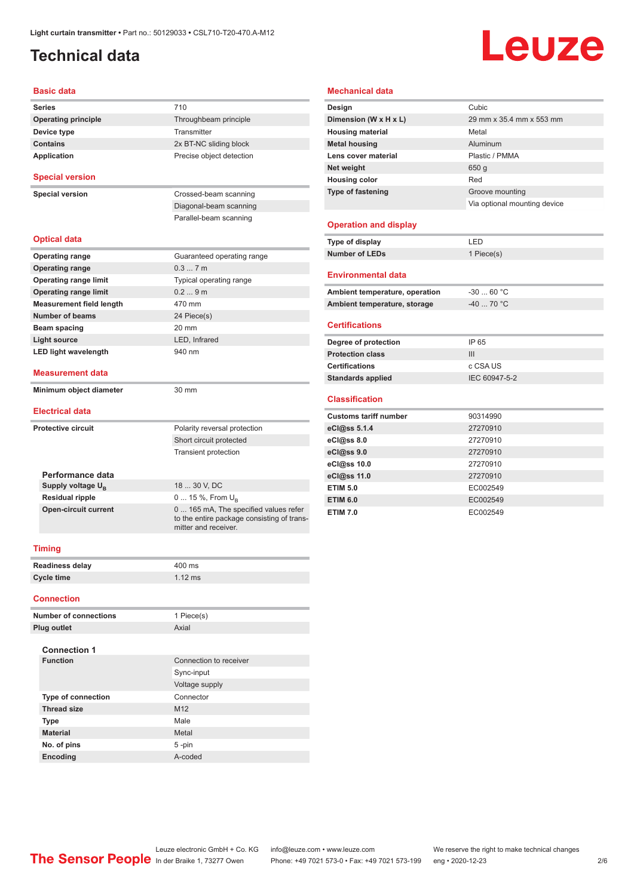## <span id="page-1-0"></span>**Technical data**

# **Leuze**

#### **Basic data**

| <b>Series</b>                   | 710                                                                                                        |  |  |
|---------------------------------|------------------------------------------------------------------------------------------------------------|--|--|
| <b>Operating principle</b>      | Throughbeam principle                                                                                      |  |  |
| Device type                     | Transmitter                                                                                                |  |  |
| <b>Contains</b>                 | 2x BT-NC sliding block                                                                                     |  |  |
| <b>Application</b>              | Precise object detection                                                                                   |  |  |
| <b>Special version</b>          |                                                                                                            |  |  |
| <b>Special version</b>          | Crossed-beam scanning                                                                                      |  |  |
|                                 | Diagonal-beam scanning                                                                                     |  |  |
|                                 | Parallel-beam scanning                                                                                     |  |  |
| <b>Optical data</b>             |                                                                                                            |  |  |
| <b>Operating range</b>          | Guaranteed operating range                                                                                 |  |  |
| <b>Operating range</b>          | 0.37m                                                                                                      |  |  |
| <b>Operating range limit</b>    | Typical operating range                                                                                    |  |  |
| <b>Operating range limit</b>    | 0.29m                                                                                                      |  |  |
| <b>Measurement field length</b> | 470 mm                                                                                                     |  |  |
| <b>Number of beams</b>          | 24 Piece(s)                                                                                                |  |  |
| Beam spacing                    | 20 mm                                                                                                      |  |  |
| <b>Light source</b>             | LED. Infrared                                                                                              |  |  |
| <b>LED light wavelength</b>     | 940 nm                                                                                                     |  |  |
| <b>Measurement data</b>         |                                                                                                            |  |  |
| Minimum object diameter         | 30 mm                                                                                                      |  |  |
| <b>Electrical data</b>          |                                                                                                            |  |  |
| <b>Protective circuit</b>       | Polarity reversal protection                                                                               |  |  |
|                                 | Short circuit protected                                                                                    |  |  |
|                                 | <b>Transient protection</b>                                                                                |  |  |
| Performance data                |                                                                                                            |  |  |
| Supply voltage U <sub>R</sub>   | 18  30 V, DC                                                                                               |  |  |
| <b>Residual ripple</b>          | 0  15 %, From $U_{R}$                                                                                      |  |  |
| <b>Open-circuit current</b>     | 0 165 mA, The specified values refer<br>to the entire package consisting of trans-<br>mitter and receiver. |  |  |
| <b>Timing</b>                   |                                                                                                            |  |  |
| <b>Readiness delay</b>          | 400 ms                                                                                                     |  |  |
| <b>Cycle time</b>               | $1.12$ ms                                                                                                  |  |  |
| <b>Connection</b>               |                                                                                                            |  |  |
| <b>Number of connections</b>    | 1 Piece(s)                                                                                                 |  |  |

| v, v, w, w        |                              | 1.1413                 |
|-------------------|------------------------------|------------------------|
| <b>Connection</b> |                              |                        |
|                   | <b>Number of connections</b> | 1 Piece(s)             |
|                   | Plug outlet                  | Axial                  |
|                   | <b>Connection 1</b>          |                        |
|                   | <b>Function</b>              | Connection to receiver |
|                   |                              | Sync-input             |
|                   |                              | Voltage supply         |
|                   | <b>Type of connection</b>    | Connector              |
|                   | <b>Thread size</b>           | M <sub>12</sub>        |
|                   | <b>Type</b>                  | Male                   |
|                   | <b>Material</b>              | Metal                  |
|                   | No. of pins                  | $5 - pin$              |
|                   | <b>Encoding</b>              | A-coded                |

#### **Mechanical data**

| Design                       | Cubic                        |
|------------------------------|------------------------------|
| Dimension (W x H x L)        | 29 mm x 35.4 mm x 553 mm     |
| <b>Housing material</b>      | Metal                        |
| <b>Metal housing</b>         | Aluminum                     |
| Lens cover material          | Plastic / PMMA               |
| Net weight                   | 650q                         |
| <b>Housing color</b>         | Red                          |
| <b>Type of fastening</b>     | Groove mounting              |
|                              | Via optional mounting device |
|                              |                              |
| <b>Operation and display</b> |                              |
| Type of display              | LED                          |

### **Number of LEDs** 1 Piece(s)

| <b>Environmental data</b>      |            |  |
|--------------------------------|------------|--|
| Ambient temperature, operation | $-3060 °C$ |  |
| Ambient temperature, storage   | $-4070 °C$ |  |

#### **Certifications**

| Degree of protection     | IP 65         |
|--------------------------|---------------|
| <b>Protection class</b>  | Ш             |
| <b>Certifications</b>    | c CSA US      |
| <b>Standards applied</b> | IEC 60947-5-2 |
|                          |               |

#### **Classification**

| <b>Customs tariff number</b> | 90314990 |
|------------------------------|----------|
| eCl@ss 5.1.4                 | 27270910 |
| eCl@ss 8.0                   | 27270910 |
| eCl@ss 9.0                   | 27270910 |
| eCl@ss 10.0                  | 27270910 |
| eCl@ss 11.0                  | 27270910 |
| <b>ETIM 5.0</b>              | EC002549 |
| <b>ETIM 6.0</b>              | EC002549 |
| <b>ETIM 7.0</b>              | EC002549 |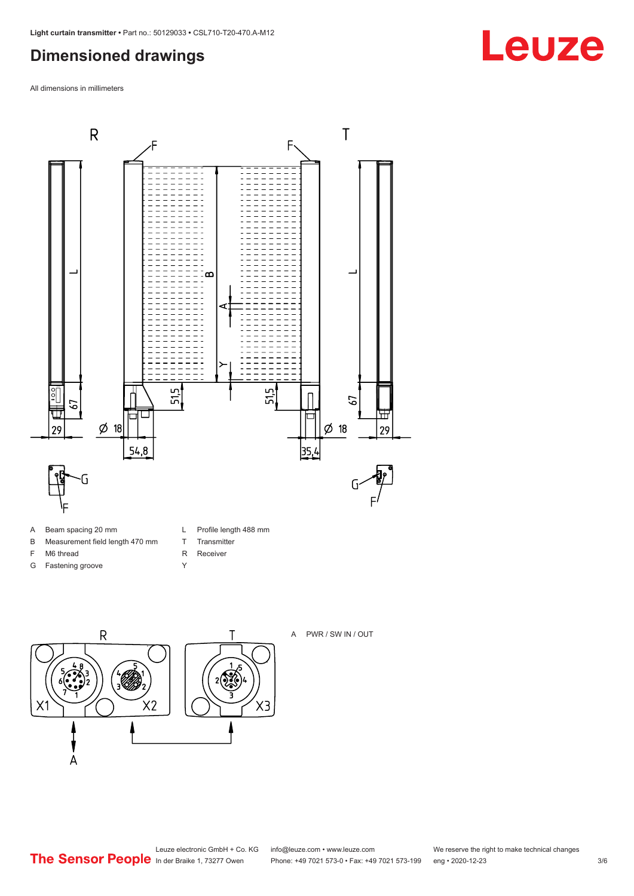## <span id="page-2-0"></span>**Dimensioned drawings**

All dimensions in millimeters



- B Measurement field length 470 mm
	-
- F M6 thread
- G Fastening groove
- L Profile length 488 mm
- T Transmitter R Receiver
- Y
- $\overline{R}$ Τ  $2\sqrt{2}$  $X<sub>2</sub>$ X1  $\overline{A}$



#### A PWR / SW IN / OUT

Leuze electronic GmbH + Co. KG info@leuze.com • www.leuze.com We reserve the right to make technical changes<br>
The Sensor People in der Braike 1, 73277 Owen Phone: +49 7021 573-0 • Fax: +49 7021 573-199 eng • 2020-12-23

Phone: +49 7021 573-0 • Fax: +49 7021 573-199 eng • 2020-12-23 3/6

## **Leuze**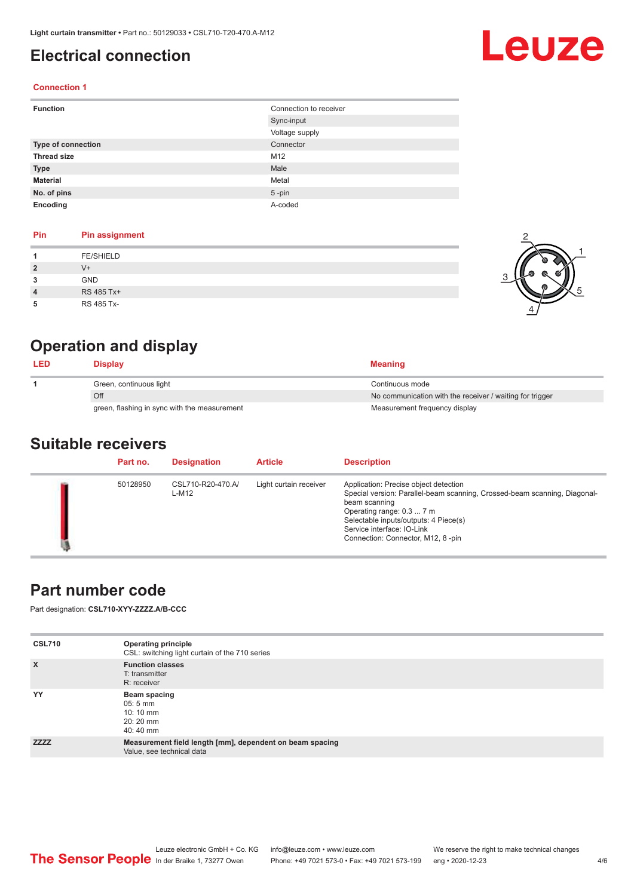## <span id="page-3-0"></span>**Electrical connection**

# Leuze

1

5

#### **Connection 1**

| <b>Function</b>           | Connection to receiver |
|---------------------------|------------------------|
|                           | Sync-input             |
|                           | Voltage supply         |
| <b>Type of connection</b> | Connector              |
| <b>Thread size</b>        | M12                    |
| <b>Type</b>               | Male                   |
| <b>Material</b>           | Metal                  |
| No. of pins               | $5$ -pin               |
| Encoding                  | A-coded                |

#### **Pin Pin assignment**

| Pin | <b>Pin assignment</b> |  |
|-----|-----------------------|--|
|     | <b>FE/SHIELD</b>      |  |
| 2   | $V^+$                 |  |
| 3   | GND                   |  |
| 4   | RS 485 Tx+            |  |
| 5   | RS 485 Tx-            |  |

## **Operation and display**

| <b>LED</b> | <b>Display</b>                               | <b>Meaning</b>                                           |
|------------|----------------------------------------------|----------------------------------------------------------|
|            | Green, continuous light                      | Continuous mode                                          |
|            | Off                                          | No communication with the receiver / waiting for trigger |
|            | green, flashing in sync with the measurement | Measurement frequency display                            |

### **Suitable receivers**

| Part no. | <b>Designation</b>         | <b>Article</b>         | <b>Description</b>                                                                                                                                                                                                                                                           |
|----------|----------------------------|------------------------|------------------------------------------------------------------------------------------------------------------------------------------------------------------------------------------------------------------------------------------------------------------------------|
| 50128950 | CSL710-R20-470.A/<br>L-M12 | Light curtain receiver | Application: Precise object detection<br>Special version: Parallel-beam scanning, Crossed-beam scanning, Diagonal-<br>beam scanning<br>Operating range: 0.3  7 m<br>Selectable inputs/outputs: 4 Piece(s)<br>Service interface: IO-Link<br>Connection: Connector, M12, 8-pin |

## **Part number code**

Part designation: **CSL710-XYY-ZZZZ.A/B-CCC**

| <b>CSL710</b> | <b>Operating principle</b><br>CSL: switching light curtain of the 710 series          |
|---------------|---------------------------------------------------------------------------------------|
| $\mathsf{x}$  | <b>Function classes</b><br>T: transmitter<br>R: receiver                              |
| YY            | Beam spacing<br>$05:5 \, \text{mm}$<br>$10:10 \, \text{mm}$<br>$20:20$ mm<br>40:40 mm |
| <b>ZZZZ</b>   | Measurement field length [mm], dependent on beam spacing<br>Value, see technical data |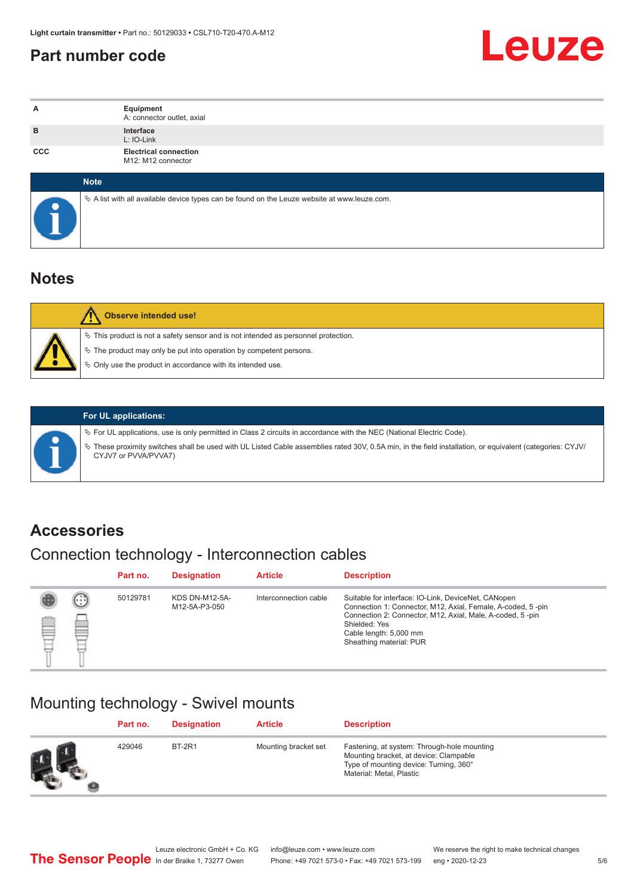## <span id="page-4-0"></span>**Part number code**



| A          | Equipment<br>A: connector outlet, axial                                                           |
|------------|---------------------------------------------------------------------------------------------------|
| B          | Interface<br>L: IO-Link                                                                           |
| <b>CCC</b> | <b>Electrical connection</b><br>M12: M12 connector                                                |
|            | <b>Note</b>                                                                                       |
|            | Vector A list with all available device types can be found on the Leuze website at www.leuze.com. |

## **Notes**

| <b>Observe intended use!</b>                                                                                                                                                                                                     |
|----------------------------------------------------------------------------------------------------------------------------------------------------------------------------------------------------------------------------------|
| $\%$ This product is not a safety sensor and is not intended as personnel protection.<br>$\&$ The product may only be put into operation by competent persons.<br>$\%$ Only use the product in accordance with its intended use. |

ª These proximity switches shall be used with UL Listed Cable assemblies rated 30V, 0.5A min, in the field installation, or equivalent (categories: CYJV/

ª For UL applications, use is only permitted in Class 2 circuits in accordance with the NEC (National Electric Code).

**For UL applications:**

CYJV7 or PVVA/PVVA7)

**Accessories**

## Connection technology - Interconnection cables

|   |        | Part no. | <b>Designation</b>                     | <b>Article</b>        | <b>Description</b>                                                                                                                                                                                                                                    |
|---|--------|----------|----------------------------------------|-----------------------|-------------------------------------------------------------------------------------------------------------------------------------------------------------------------------------------------------------------------------------------------------|
| ▩ | ⊕<br>œ | 50129781 | <b>KDS DN-M12-5A-</b><br>M12-5A-P3-050 | Interconnection cable | Suitable for interface: IO-Link, DeviceNet, CANopen<br>Connection 1: Connector, M12, Axial, Female, A-coded, 5-pin<br>Connection 2: Connector, M12, Axial, Male, A-coded, 5-pin<br>Shielded: Yes<br>Cable length: 5,000 mm<br>Sheathing material: PUR |

## Mounting technology - Swivel mounts

|    | Part no. | <b>Designation</b> | <b>Article</b>       | <b>Description</b>                                                                                                                                          |
|----|----------|--------------------|----------------------|-------------------------------------------------------------------------------------------------------------------------------------------------------------|
| Ø. | 429046   | <b>BT-2R1</b>      | Mounting bracket set | Fastening, at system: Through-hole mounting<br>Mounting bracket, at device: Clampable<br>Type of mounting device: Turning, 360°<br>Material: Metal, Plastic |